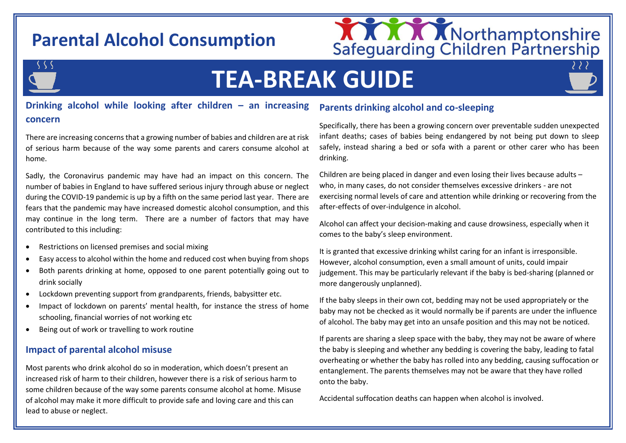# **Parental Alcohol Consumption**



## S S S

# **TEA-BREAK GUIDE**

#### **Drinking alcohol while looking after children – an increasing concern**

There are increasing concerns that a growing number of babies and children are at risk of serious harm because of the way some parents and carers consume alcohol at home.

Sadly, the Coronavirus pandemic may have had an impact on this concern. The number of babies in England to have suffered serious injury through abuse or neglect during the COVID-19 pandemic is up by a fifth on the same period last year. There are fears that the pandemic may have increased domestic alcohol consumption, and this may continue in the long term. There are a number of factors that may have contributed to this including:

- Restrictions on licensed premises and social mixing
- Easy access to alcohol within the home and reduced cost when buying from shops
- Both parents drinking at home, opposed to one parent potentially going out to drink socially
- Lockdown preventing support from grandparents, friends, babysitter etc.
- Impact of lockdown on parents' mental health, for instance the stress of home schooling, financial worries of not working etc
- Being out of work or travelling to work routine

#### **Impact of parental alcohol misuse**

Most parents who drink alcohol do so in moderation, which doesn't present an increased risk of harm to their children, however there is a risk of serious harm to some children because of the way some parents consume alcohol at home. Misuse of alcohol may make it more difficult to provide safe and loving care and this can lead to abuse or neglect.

#### **Parents drinking alcohol and co-sleeping**

Specifically, there has been a growing concern over preventable sudden unexpected infant deaths; cases of babies being endangered by not being put down to sleep safely, instead sharing a bed or sofa with a parent or other carer who has been drinking.

Children are being placed in danger and even losing their lives because adults – who, in many cases, do not consider themselves excessive drinkers - are not exercising normal levels of care and attention while drinking or recovering from the after-effects of over-indulgence in alcohol.

Alcohol can affect your decision-making and cause drowsiness, especially when it comes to the baby's sleep environment.

It is granted that excessive drinking whilst caring for an infant is irresponsible. However, alcohol consumption, even a small amount of units, could impair judgement. This may be particularly relevant if the baby is bed-sharing (planned or more dangerously unplanned).

If the baby sleeps in their own cot, bedding may not be used appropriately or the baby may not be checked as it would normally be if parents are under the influence of alcohol. The baby may get into an unsafe position and this may not be noticed.

If parents are sharing a sleep space with the baby, they may not be aware of where the baby is sleeping and whether any bedding is covering the baby, leading to fatal overheating or whether the baby has rolled into any bedding, causing suffocation or entanglement. The parents themselves may not be aware that they have rolled onto the baby.

Accidental suffocation deaths can happen when alcohol is involved.